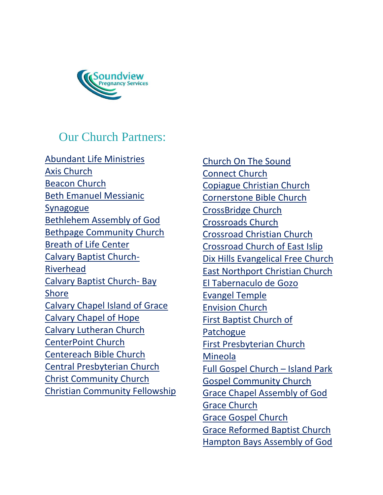

## Our Church Partners:

[Abundant Life Ministries](http://christianchurchlongisland.org/) [Axis Church](http://axisny.org/) [Beacon Church](http://www.beaconchurchonline.com/) [Beth Emanuel Messianic](https://www.bethemanuel.com/)  [Synagogue](https://www.bethemanuel.com/) [Bethlehem Assembly of God](http://www.bethlehemag.org/) Bethpage Community Church [Breath of Life Center](https://www.breathoflifecenter.org/) [Calvary Baptist Church-](https://www.cbcriverhead.org/)[Riverhead](https://www.cbcriverhead.org/) [Calvary Baptist Church-](http://cbcbayshore.com/) Bay [Shore](http://cbcbayshore.com/) [Calvary Chapel Island of Grace](http://cciog.com/) [Calvary Chapel of Hope](http://www.calvarychapelofhope.org/index.php) [Calvary Lutheran Church](https://www.calvarylc.org/) [CenterPoint Church](http://www.cpchurch.com/) [Centereach Bible Church](http://www.centereachbiblechurch.net/index.html) [Central Presbyterian Church](http://centralpresbyterianchurch.net/) Christ Community Church [Christian Community Fellowship](https://www.facebook.com/pages/Community-Christian-Fellowship-Mattituck-Ny/356393857755378)

[Church On The Sound](http://churchonthesound.org/) [Connect Church](http://connectchurchny.com/) [Copiague Christian Church](http://ccc-li.org/) [Cornerstone Bible Church](http://www.cornerstonepjs.org/) [CrossBridge Church](http://crossbridgeny.org/) [Crossroads Church](https://sites.google.com/view/crossroadschurchsb) [Crossroad Christian Church](http://crossroadchristian.church/) Crossroad Church of East Islip [Dix Hills Evangelical Free Church](http://www.dixhillsefc.org/) [East Northport Christian Church](https://www.enchristian.com/index.html) [El Tabernaculo de Gozo](https://www.eltabernaculodegozo.org/) [Evangel Temple](https://www.facebook.com/Evangel-Temple-of-Mastic-Beach-NY-139333872837072/) [Envision Church](http://www.envisionli.org/) [First Baptist Church of](http://www.fbcpatchogue.com/)  **[Patchogue](http://www.fbcpatchogue.com/)** [First Presbyterian Church](http://www.mineolafirstpresby.org/)  [Mineola](http://www.mineolafirstpresby.org/) [Full Gospel Church](https://www.fgcip.org/) – Island Park [Gospel Community Church](http://gospelcommunitychurch.org/) [Grace Chapel Assembly of God](https://www.gracechapelag.net/index.html) [Grace Church](http://www.gracechurchli.org/) [Grace Gospel Church](http://www.gracegospelchurch.com/) [Grace Reformed Baptist Church](http://gracereformedbaptistchurch.com/) [Hampton Bays Assembly of God](http://www.hamptonbaysag.net/)